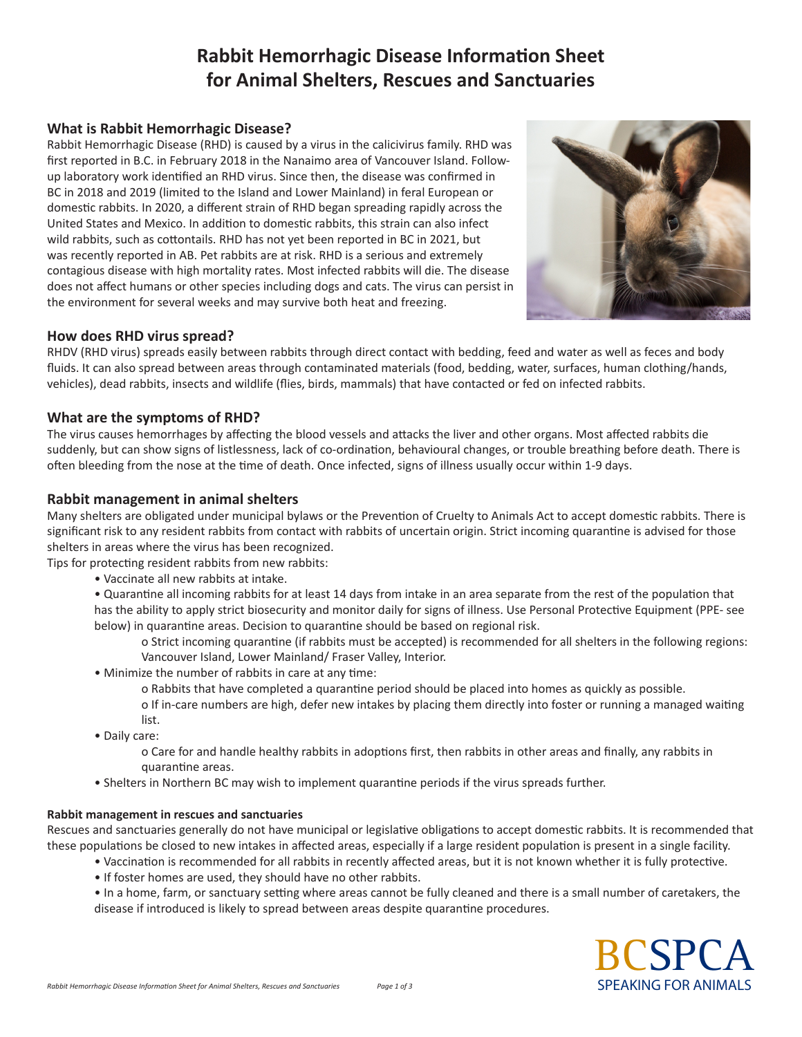# **Rabbit Hemorrhagic Disease Information Sheet for Animal Shelters, Rescues and Sanctuaries**

# **What is Rabbit Hemorrhagic Disease?**

Rabbit Hemorrhagic Disease (RHD) is caused by a virus in the calicivirus family. RHD was first reported in B.C. in February 2018 in the Nanaimo area of Vancouver Island. Followup laboratory work identified an RHD virus. Since then, the disease was confirmed in BC in 2018 and 2019 (limited to the Island and Lower Mainland) in feral European or domestic rabbits. In 2020, a different strain of RHD began spreading rapidly across the United States and Mexico. In addition to domestic rabbits, this strain can also infect wild rabbits, such as cottontails. RHD has not yet been reported in BC in 2021, but was recently reported in AB. Pet rabbits are at risk. RHD is a serious and extremely contagious disease with high mortality rates. Most infected rabbits will die. The disease does not affect humans or other species including dogs and cats. The virus can persist in the environment for several weeks and may survive both heat and freezing.



# **How does RHD virus spread?**

RHDV (RHD virus) spreads easily between rabbits through direct contact with bedding, feed and water as well as feces and body fluids. It can also spread between areas through contaminated materials (food, bedding, water, surfaces, human clothing/hands, vehicles), dead rabbits, insects and wildlife (flies, birds, mammals) that have contacted or fed on infected rabbits.

## **What are the symptoms of RHD?**

The virus causes hemorrhages by affecting the blood vessels and attacks the liver and other organs. Most affected rabbits die suddenly, but can show signs of listlessness, lack of co-ordination, behavioural changes, or trouble breathing before death. There is often bleeding from the nose at the time of death. Once infected, signs of illness usually occur within 1-9 days.

## **Rabbit management in animal shelters**

Many shelters are obligated under municipal bylaws or the Prevention of Cruelty to Animals Act to accept domestic rabbits. There is significant risk to any resident rabbits from contact with rabbits of uncertain origin. Strict incoming quarantine is advised for those shelters in areas where the virus has been recognized.

Tips for protecting resident rabbits from new rabbits:

- Vaccinate all new rabbits at intake.
- Quarantine all incoming rabbits for at least 14 days from intake in an area separate from the rest of the population that has the ability to apply strict biosecurity and monitor daily for signs of illness. Use Personal Protective Equipment (PPE- see below) in quarantine areas. Decision to quarantine should be based on regional risk.
	- o Strict incoming quarantine (if rabbits must be accepted) is recommended for all shelters in the following regions: Vancouver Island, Lower Mainland/ Fraser Valley, Interior.
- Minimize the number of rabbits in care at any time:
	- o Rabbits that have completed a quarantine period should be placed into homes as quickly as possible. o If in-care numbers are high, defer new intakes by placing them directly into foster or running a managed waiting list.
- Daily care:
	- o Care for and handle healthy rabbits in adoptions first, then rabbits in other areas and finally, any rabbits in quarantine areas.
- Shelters in Northern BC may wish to implement quarantine periods if the virus spreads further.

## **Rabbit management in rescues and sanctuaries**

Rescues and sanctuaries generally do not have municipal or legislative obligations to accept domestic rabbits. It is recommended that these populations be closed to new intakes in affected areas, especially if a large resident population is present in a single facility.

- Vaccination is recommended for all rabbits in recently affected areas, but it is not known whether it is fully protective.
- If foster homes are used, they should have no other rabbits.
- In a home, farm, or sanctuary setting where areas cannot be fully cleaned and there is a small number of caretakers, the disease if introduced is likely to spread between areas despite quarantine procedures.

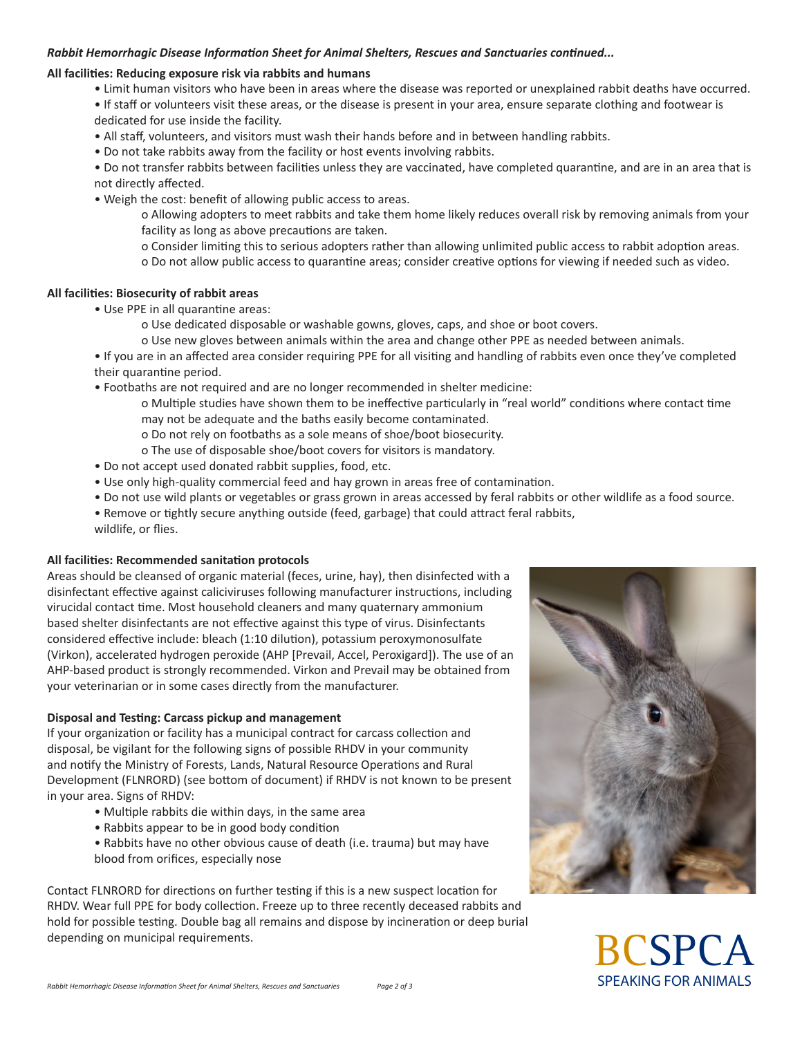#### *Rabbit Hemorrhagic Disease Information Sheet for Animal Shelters, Rescues and Sanctuaries continued...*

#### **All facilities: Reducing exposure risk via rabbits and humans**

- Limit human visitors who have been in areas where the disease was reported or unexplained rabbit deaths have occurred.
- If staff or volunteers visit these areas, or the disease is present in your area, ensure separate clothing and footwear is dedicated for use inside the facility.
- All staff, volunteers, and visitors must wash their hands before and in between handling rabbits.
- Do not take rabbits away from the facility or host events involving rabbits.

• Do not transfer rabbits between facilities unless they are vaccinated, have completed quarantine, and are in an area that is not directly affected.

• Weigh the cost: benefit of allowing public access to areas.

o Allowing adopters to meet rabbits and take them home likely reduces overall risk by removing animals from your facility as long as above precautions are taken.

o Consider limiting this to serious adopters rather than allowing unlimited public access to rabbit adoption areas.

o Do not allow public access to quarantine areas; consider creative options for viewing if needed such as video.

#### **All facilities: Biosecurity of rabbit areas**

- Use PPE in all quarantine areas:
	- o Use dedicated disposable or washable gowns, gloves, caps, and shoe or boot covers.
	- o Use new gloves between animals within the area and change other PPE as needed between animals.
- If you are in an affected area consider requiring PPE for all visiting and handling of rabbits even once they've completed their quarantine period.
- Footbaths are not required and are no longer recommended in shelter medicine:
	- o Multiple studies have shown them to be ineffective particularly in "real world" conditions where contact time may not be adequate and the baths easily become contaminated.
	- o Do not rely on footbaths as a sole means of shoe/boot biosecurity.
	- o The use of disposable shoe/boot covers for visitors is mandatory.
- Do not accept used donated rabbit supplies, food, etc.
- Use only high-quality commercial feed and hay grown in areas free of contamination.
- Do not use wild plants or vegetables or grass grown in areas accessed by feral rabbits or other wildlife as a food source.
- Remove or tightly secure anything outside (feed, garbage) that could attract feral rabbits, wildlife, or flies.

## **All facilities: Recommended sanitation protocols**

Areas should be cleansed of organic material (feces, urine, hay), then disinfected with a disinfectant effective against caliciviruses following manufacturer instructions, including virucidal contact time. Most household cleaners and many quaternary ammonium based shelter disinfectants are not effective against this type of virus. Disinfectants considered effective include: bleach (1:10 dilution), potassium peroxymonosulfate (Virkon), accelerated hydrogen peroxide (AHP [Prevail, Accel, Peroxigard]). The use of an AHP-based product is strongly recommended. Virkon and Prevail may be obtained from your veterinarian or in some cases directly from the manufacturer.

## **Disposal and Testing: Carcass pickup and management**

If your organization or facility has a municipal contract for carcass collection and disposal, be vigilant for the following signs of possible RHDV in your community and notify the Ministry of Forests, Lands, Natural Resource Operations and Rural Development (FLNRORD) (see bottom of document) if RHDV is not known to be present in your area. Signs of RHDV:

- Multiple rabbits die within days, in the same area
- Rabbits appear to be in good body condition
- Rabbits have no other obvious cause of death (i.e. trauma) but may have blood from orifices, especially nose

Contact FLNRORD for directions on further testing if this is a new suspect location for RHDV. Wear full PPE for body collection. Freeze up to three recently deceased rabbits and hold for possible testing. Double bag all remains and dispose by incineration or deep burial depending on municipal requirements.